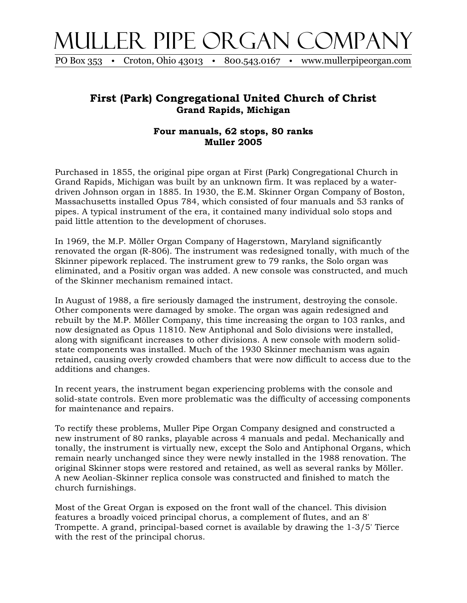## Muller Pipe Organ Company

PO Box 353 • Croton, Ohio 43013 • 800.543.0167 • www.mullerpipeorgan.com

## **First (Park) Congregational United Church of Christ Grand Rapids, Michigan**

## **Four manuals, 62 stops, 80 ranks Muller 2005**

Purchased in 1855, the original pipe organ at First (Park) Congregational Church in Grand Rapids, Michigan was built by an unknown firm. It was replaced by a waterdriven Johnson organ in 1885. In 1930, the E.M. Skinner Organ Company of Boston, Massachusetts installed Opus 784, which consisted of four manuals and 53 ranks of pipes. A typical instrument of the era, it contained many individual solo stops and paid little attention to the development of choruses.

In 1969, the M.P. Möller Organ Company of Hagerstown, Maryland significantly renovated the organ (R-806). The instrument was redesigned tonally, with much of the Skinner pipework replaced. The instrument grew to 79 ranks, the Solo organ was eliminated, and a Positiv organ was added. A new console was constructed, and much of the Skinner mechanism remained intact.

In August of 1988, a fire seriously damaged the instrument, destroying the console. Other components were damaged by smoke. The organ was again redesigned and rebuilt by the M.P. Möller Company, this time increasing the organ to 103 ranks, and now designated as Opus 11810. New Antiphonal and Solo divisions were installed, along with significant increases to other divisions. A new console with modern solidstate components was installed. Much of the 1930 Skinner mechanism was again retained, causing overly crowded chambers that were now difficult to access due to the additions and changes.

In recent years, the instrument began experiencing problems with the console and solid-state controls. Even more problematic was the difficulty of accessing components for maintenance and repairs.

To rectify these problems, Muller Pipe Organ Company designed and constructed a new instrument of 80 ranks, playable across 4 manuals and pedal. Mechanically and tonally, the instrument is virtually new, except the Solo and Antiphonal Organs, which remain nearly unchanged since they were newly installed in the 1988 renovation. The original Skinner stops were restored and retained, as well as several ranks by Möller. A new Aeolian-Skinner replica console was constructed and finished to match the church furnishings.

Most of the Great Organ is exposed on the front wall of the chancel. This division features a broadly voiced principal chorus, a complement of flutes, and an 8' Trompette. A grand, principal-based cornet is available by drawing the 1-3/5' Tierce with the rest of the principal chorus.